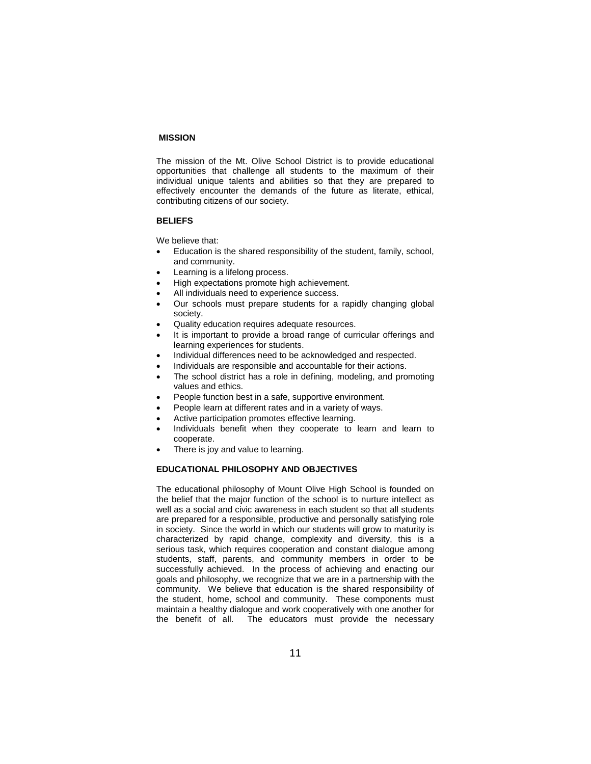# **MISSION**

The mission of the Mt. Olive School District is to provide educational opportunities that challenge all students to the maximum of their individual unique talents and abilities so that they are prepared to effectively encounter the demands of the future as literate, ethical, contributing citizens of our society.

#### **BELIEFS**

We believe that:

- Education is the shared responsibility of the student, family, school, and community.
- Learning is a lifelong process.
- High expectations promote high achievement.
- All individuals need to experience success.
- Our schools must prepare students for a rapidly changing global society.
- Quality education requires adequate resources.
- It is important to provide a broad range of curricular offerings and learning experiences for students.
- Individual differences need to be acknowledged and respected.
- Individuals are responsible and accountable for their actions.
- The school district has a role in defining, modeling, and promoting values and ethics.
- People function best in a safe, supportive environment.
- People learn at different rates and in a variety of ways.
- Active participation promotes effective learning.
- Individuals benefit when they cooperate to learn and learn to cooperate.
- There is joy and value to learning.

# **EDUCATIONAL PHILOSOPHY AND OBJECTIVES**

The educational philosophy of Mount Olive High School is founded on the belief that the major function of the school is to nurture intellect as well as a social and civic awareness in each student so that all students are prepared for a responsible, productive and personally satisfying role in society. Since the world in which our students will grow to maturity is characterized by rapid change, complexity and diversity, this is a serious task, which requires cooperation and constant dialogue among students, staff, parents, and community members in order to be successfully achieved. In the process of achieving and enacting our goals and philosophy, we recognize that we are in a partnership with the community. We believe that education is the shared responsibility of the student, home, school and community. These components must maintain a healthy dialogue and work cooperatively with one another for the benefit of all. The educators must provide the necessary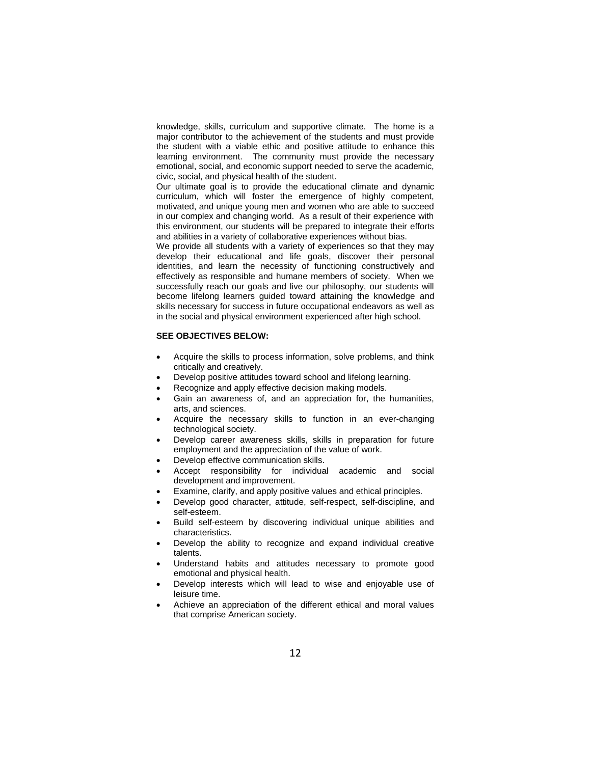knowledge, skills, curriculum and supportive climate. The home is a major contributor to the achievement of the students and must provide the student with a viable ethic and positive attitude to enhance this learning environment. The community must provide the necessary emotional, social, and economic support needed to serve the academic, civic, social, and physical health of the student.

Our ultimate goal is to provide the educational climate and dynamic curriculum, which will foster the emergence of highly competent, motivated, and unique young men and women who are able to succeed in our complex and changing world. As a result of their experience with this environment, our students will be prepared to integrate their efforts and abilities in a variety of collaborative experiences without bias.

We provide all students with a variety of experiences so that they may develop their educational and life goals, discover their personal identities, and learn the necessity of functioning constructively and effectively as responsible and humane members of society. When we successfully reach our goals and live our philosophy, our students will become lifelong learners guided toward attaining the knowledge and skills necessary for success in future occupational endeavors as well as in the social and physical environment experienced after high school.

### **SEE OBJECTIVES BELOW:**

- Acquire the skills to process information, solve problems, and think critically and creatively.
- Develop positive attitudes toward school and lifelong learning.
- Recognize and apply effective decision making models.
- Gain an awareness of, and an appreciation for, the humanities, arts, and sciences.
- Acquire the necessary skills to function in an ever-changing technological society.
- Develop career awareness skills, skills in preparation for future employment and the appreciation of the value of work.
- Develop effective communication skills.
- Accept responsibility for individual academic and social development and improvement.
- Examine, clarify, and apply positive values and ethical principles.
- Develop good character, attitude, self-respect, self-discipline, and self-esteem.
- Build self-esteem by discovering individual unique abilities and characteristics.
- Develop the ability to recognize and expand individual creative talents.
- Understand habits and attitudes necessary to promote good emotional and physical health.
- Develop interests which will lead to wise and enjoyable use of leisure time.
- Achieve an appreciation of the different ethical and moral values that comprise American society.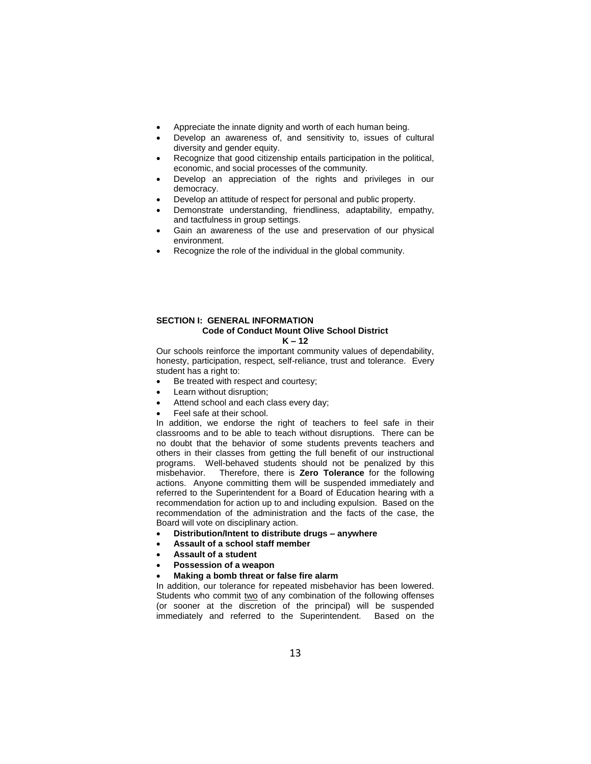- Appreciate the innate dignity and worth of each human being.
- Develop an awareness of, and sensitivity to, issues of cultural diversity and gender equity.
- Recognize that good citizenship entails participation in the political, economic, and social processes of the community.
- Develop an appreciation of the rights and privileges in our democracy.
- Develop an attitude of respect for personal and public property.
- Demonstrate understanding, friendliness, adaptability, empathy, and tactfulness in group settings.
- Gain an awareness of the use and preservation of our physical environment.
- Recognize the role of the individual in the global community.

#### **SECTION I: GENERAL INFORMATION Code of Conduct Mount Olive School District K – 12**

Our schools reinforce the important community values of dependability, honesty, participation, respect, self-reliance, trust and tolerance. Every student has a right to:

- Be treated with respect and courtesy;
- Learn without disruption;
- Attend school and each class every day;
- Feel safe at their school.

In addition, we endorse the right of teachers to feel safe in their classrooms and to be able to teach without disruptions. There can be no doubt that the behavior of some students prevents teachers and others in their classes from getting the full benefit of our instructional programs. Well-behaved students should not be penalized by this misbehavior. Therefore, there is **Zero Tolerance** for the following actions. Anyone committing them will be suspended immediately and referred to the Superintendent for a Board of Education hearing with a recommendation for action up to and including expulsion. Based on the recommendation of the administration and the facts of the case, the Board will vote on disciplinary action.

- **Distribution/Intent to distribute drugs – anywhere**
- **Assault of a school staff member**
- **Assault of a student**
- **Possession of a weapon**
- **Making a bomb threat or false fire alarm**

In addition, our tolerance for repeated misbehavior has been lowered. Students who commit two of any combination of the following offenses (or sooner at the discretion of the principal) will be suspended immediately and referred to the Superintendent. Based on the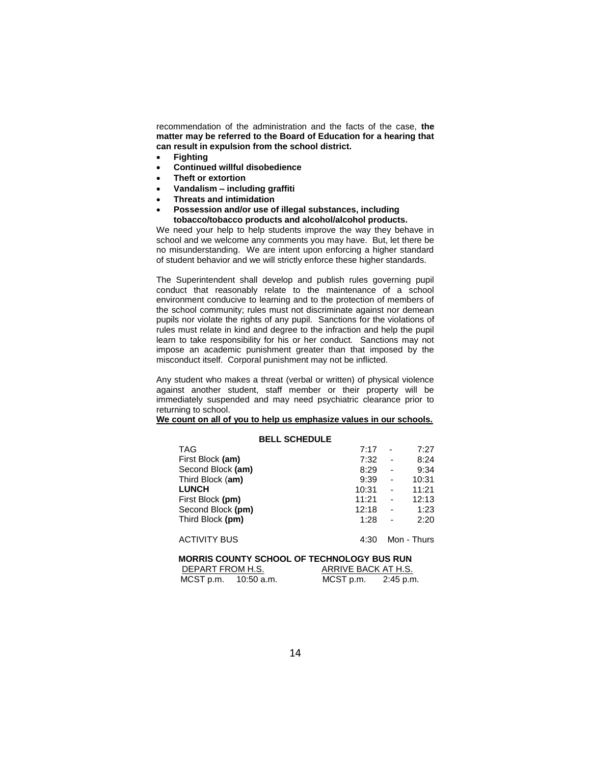recommendation of the administration and the facts of the case, **the matter may be referred to the Board of Education for a hearing that can result in expulsion from the school district.**

- **Fighting**
- **Continued willful disobedience**
- **Theft or extortion**
- **Vandalism – including graffiti**
- **Threats and intimidation**
- **Possession and/or use of illegal substances, including tobacco/tobacco products and alcohol/alcohol products.**

We need your help to help students improve the way they behave in school and we welcome any comments you may have. But, let there be no misunderstanding. We are intent upon enforcing a higher standard of student behavior and we will strictly enforce these higher standards.

The Superintendent shall develop and publish rules governing pupil conduct that reasonably relate to the maintenance of a school environment conducive to learning and to the protection of members of the school community; rules must not discriminate against nor demean pupils nor violate the rights of any pupil. Sanctions for the violations of rules must relate in kind and degree to the infraction and help the pupil learn to take responsibility for his or her conduct. Sanctions may not impose an academic punishment greater than that imposed by the misconduct itself. Corporal punishment may not be inflicted.

Any student who makes a threat (verbal or written) of physical violence against another student, staff member or their property will be immediately suspended and may need psychiatric clearance prior to returning to school.

# **We count on all of you to help us emphasize values in our schools.**

| <b>BELL SCHEDULE</b>                              |       |   |             |  |
|---------------------------------------------------|-------|---|-------------|--|
| <b>TAG</b>                                        | 7:17  |   | 7:27        |  |
| First Block (am)                                  | 7:32  |   | 8:24        |  |
| Second Block (am)                                 | 8:29  |   | 9:34        |  |
| Third Block (am)                                  | 9:39  |   | 10:31       |  |
| <b>LUNCH</b>                                      | 10:31 |   | 11:21       |  |
| First Block (pm)                                  | 11:21 | ٠ | 12:13       |  |
| Second Block (pm)                                 | 12:18 |   | 1:23        |  |
| Third Block (pm)                                  | 1:28  |   | 2:20        |  |
| <b>ACTIVITY BUS</b>                               | 4:30  |   | Mon - Thurs |  |
| <b>MORRIS COUNTY SCHOOL OF TECHNOLOGY BUS RUN</b> |       |   |             |  |

| DEPART FROM H.S. |            |           | ARRIVE BACK AT H.S. |  |
|------------------|------------|-----------|---------------------|--|
| MCST p.m.        | 10:50 a.m. | MCST p.m. | 2:45 p.m.           |  |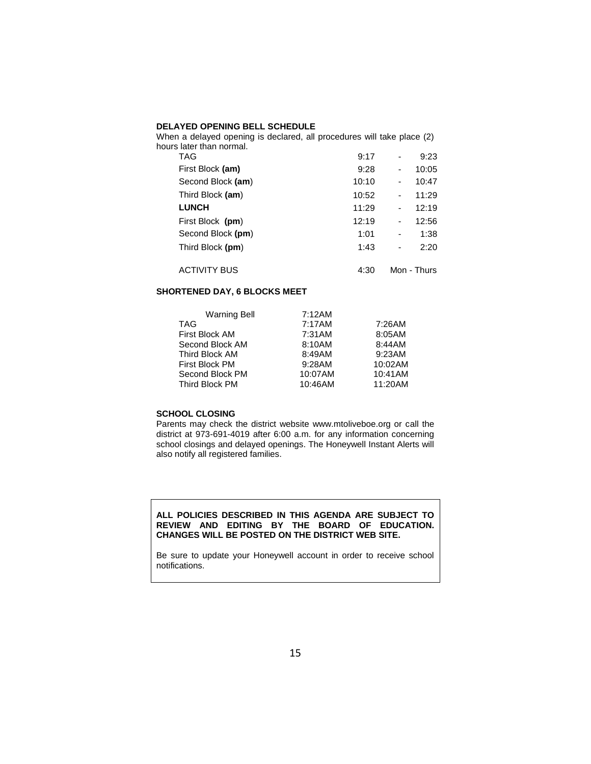### **DELAYED OPENING BELL SCHEDULE**

When a delayed opening is declared, all procedures will take place (2) hours later than normal.

| TAG                 | 9:17  |                          | 9:23        |
|---------------------|-------|--------------------------|-------------|
| First Block (am)    | 9:28  | $\overline{\phantom{a}}$ | 10:05       |
| Second Block (am)   | 10:10 | ۰                        | 10:47       |
| Third Block (am)    | 10:52 | ۰                        | 11:29       |
| <b>LUNCH</b>        | 11:29 | $\overline{\phantom{a}}$ | 12:19       |
| First Block (pm)    | 12:19 | $\overline{\phantom{a}}$ | 12:56       |
| Second Block (pm)   | 1:01  |                          | 1:38        |
| Third Block (pm)    | 1:43  |                          | 2:20        |
| <b>ACTIVITY BUS</b> | 4:30  |                          | Mon - Thurs |

# **SHORTENED DAY, 6 BLOCKS MEET**

| Warning Bell    | 7:12AM  |         |
|-----------------|---------|---------|
| <b>TAG</b>      | 7:17AM  | 7:26AM  |
| First Block AM  | 7:31AM  | 8:05AM  |
| Second Block AM | 8:10AM  | 8:44AM  |
| Third Block AM  | 8:49AM  | 9:23AM  |
| First Block PM  | 9:28AM  | 10:02AM |
| Second Block PM | 10:07AM | 10:41AM |
| Third Block PM  | 10:46AM | 11:20AM |

# **SCHOOL CLOSING**

Parents may check the district website www.mtoliveboe.org or call the district at 973-691-4019 after 6:00 a.m. for any information concerning school closings and delayed openings. The Honeywell Instant Alerts will also notify all registered families.

### **ALL POLICIES DESCRIBED IN THIS AGENDA ARE SUBJECT TO REVIEW AND EDITING BY THE BOARD OF EDUCATION. CHANGES WILL BE POSTED ON THE DISTRICT WEB SITE.**

Be sure to update your Honeywell account in order to receive school notifications.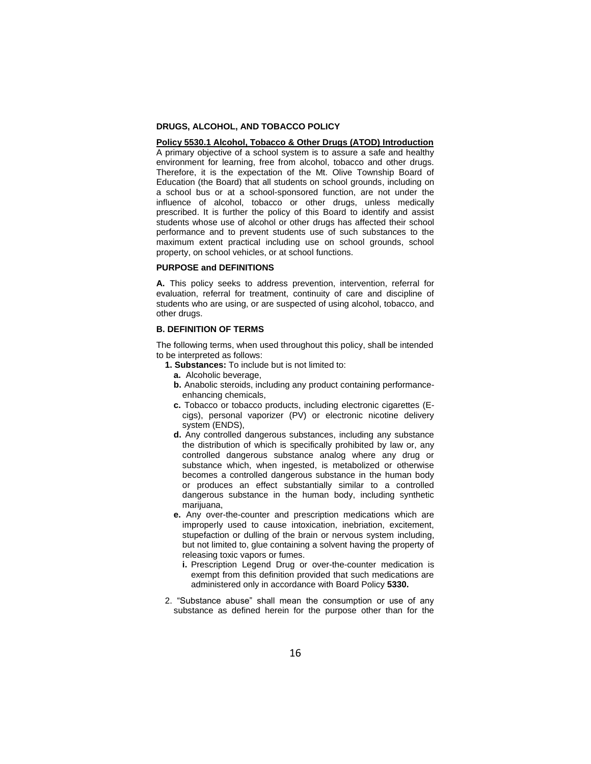# **DRUGS, ALCOHOL, AND TOBACCO POLICY**

# **Policy 5530.1 Alcohol, Tobacco & Other Drugs (ATOD) Introduction**

A primary objective of a school system is to assure a safe and healthy environment for learning, free from alcohol, tobacco and other drugs. Therefore, it is the expectation of the Mt. Olive Township Board of Education (the Board) that all students on school grounds, including on a school bus or at a school-sponsored function, are not under the influence of alcohol, tobacco or other drugs, unless medically prescribed. It is further the policy of this Board to identify and assist students whose use of alcohol or other drugs has affected their school performance and to prevent students use of such substances to the maximum extent practical including use on school grounds, school property, on school vehicles, or at school functions.

### **PURPOSE and DEFINITIONS**

**A.** This policy seeks to address prevention, intervention, referral for evaluation, referral for treatment, continuity of care and discipline of students who are using, or are suspected of using alcohol, tobacco, and other drugs.

# **B. DEFINITION OF TERMS**

The following terms, when used throughout this policy, shall be intended to be interpreted as follows:

- **1. Substances:** To include but is not limited to:
	- **a.** Alcoholic beverage,
	- **b.** Anabolic steroids, including any product containing performanceenhancing chemicals,
	- **c.** Tobacco or tobacco products, including electronic cigarettes (Ecigs), personal vaporizer (PV) or electronic nicotine delivery system (ENDS),
	- **d.** Any controlled dangerous substances, including any substance the distribution of which is specifically prohibited by law or, any controlled dangerous substance analog where any drug or substance which, when ingested, is metabolized or otherwise becomes a controlled dangerous substance in the human body or produces an effect substantially similar to a controlled dangerous substance in the human body, including synthetic marijuana,
	- **e.** Any over-the-counter and prescription medications which are improperly used to cause intoxication, inebriation, excitement, stupefaction or dulling of the brain or nervous system including, but not limited to, glue containing a solvent having the property of releasing toxic vapors or fumes.
		- **i.** Prescription Legend Drug or over-the-counter medication is exempt from this definition provided that such medications are administered only in accordance with Board Policy **5330.**
- 2. "Substance abuse" shall mean the consumption or use of any substance as defined herein for the purpose other than for the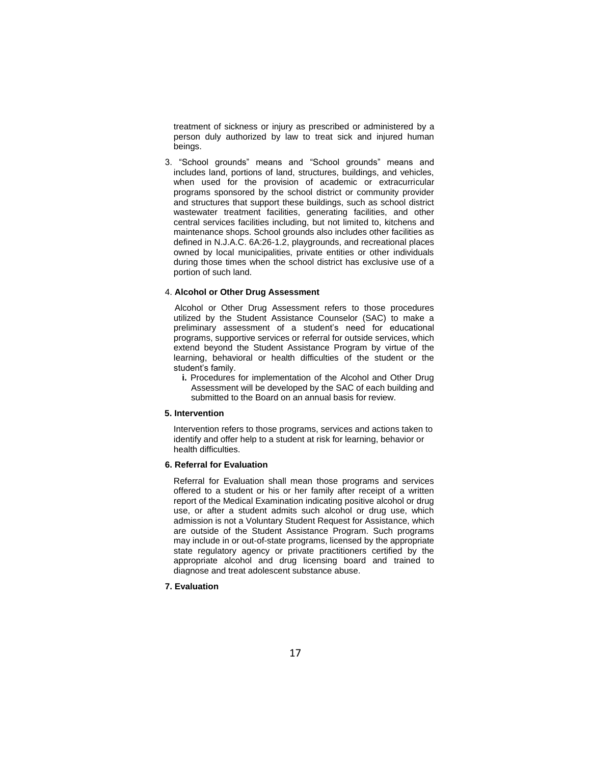treatment of sickness or injury as prescribed or administered by a person duly authorized by law to treat sick and injured human beings.

3. "School grounds" means and "School grounds" means and includes land, portions of land, structures, buildings, and vehicles, when used for the provision of academic or extracurricular programs sponsored by the school district or community provider and structures that support these buildings, such as school district wastewater treatment facilities, generating facilities, and other central services facilities including, but not limited to, kitchens and maintenance shops. School grounds also includes other facilities as defined in N.J.A.C. 6A:26-1.2, playgrounds, and recreational places owned by local municipalities, private entities or other individuals during those times when the school district has exclusive use of a portion of such land.

### 4. **Alcohol or Other Drug Assessment**

 Alcohol or Other Drug Assessment refers to those procedures utilized by the Student Assistance Counselor (SAC) to make a preliminary assessment of a student's need for educational programs, supportive services or referral for outside services, which extend beyond the Student Assistance Program by virtue of the learning, behavioral or health difficulties of the student or the student's family.

**i.** Procedures for implementation of the Alcohol and Other Drug Assessment will be developed by the SAC of each building and submitted to the Board on an annual basis for review.

# **5. Intervention**

Intervention refers to those programs, services and actions taken to identify and offer help to a student at risk for learning, behavior or health difficulties.

## **6. Referral for Evaluation**

Referral for Evaluation shall mean those programs and services offered to a student or his or her family after receipt of a written report of the Medical Examination indicating positive alcohol or drug use, or after a student admits such alcohol or drug use, which admission is not a Voluntary Student Request for Assistance, which are outside of the Student Assistance Program. Such programs may include in or out-of-state programs, licensed by the appropriate state regulatory agency or private practitioners certified by the appropriate alcohol and drug licensing board and trained to diagnose and treat adolescent substance abuse.

### **7. Evaluation**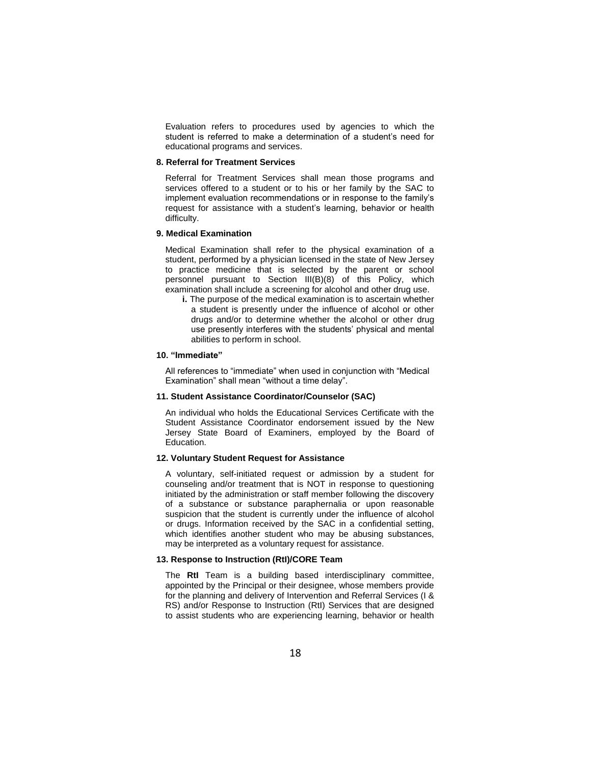Evaluation refers to procedures used by agencies to which the student is referred to make a determination of a student's need for educational programs and services.

#### **8. Referral for Treatment Services**

Referral for Treatment Services shall mean those programs and services offered to a student or to his or her family by the SAC to implement evaluation recommendations or in response to the family's request for assistance with a student's learning, behavior or health difficulty.

# **9. Medical Examination**

Medical Examination shall refer to the physical examination of a student, performed by a physician licensed in the state of New Jersey to practice medicine that is selected by the parent or school personnel pursuant to Section III(B)(8) of this Policy, which examination shall include a screening for alcohol and other drug use.

**i.** The purpose of the medical examination is to ascertain whether a student is presently under the influence of alcohol or other drugs and/or to determine whether the alcohol or other drug use presently interferes with the students' physical and mental abilities to perform in school.

## **10. "Immediate"**

All references to "immediate" when used in conjunction with "Medical Examination" shall mean "without a time delay".

#### **11. Student Assistance Coordinator/Counselor (SAC)**

An individual who holds the Educational Services Certificate with the Student Assistance Coordinator endorsement issued by the New Jersey State Board of Examiners, employed by the Board of Education.

### **12. Voluntary Student Request for Assistance**

A voluntary, self-initiated request or admission by a student for counseling and/or treatment that is NOT in response to questioning initiated by the administration or staff member following the discovery of a substance or substance paraphernalia or upon reasonable suspicion that the student is currently under the influence of alcohol or drugs. Information received by the SAC in a confidential setting, which identifies another student who may be abusing substances, may be interpreted as a voluntary request for assistance.

### **13. Response to Instruction (RtI)/CORE Team**

The **RtI** Team is a building based interdisciplinary committee, appointed by the Principal or their designee, whose members provide for the planning and delivery of Intervention and Referral Services (I & RS) and/or Response to Instruction (RtI) Services that are designed to assist students who are experiencing learning, behavior or health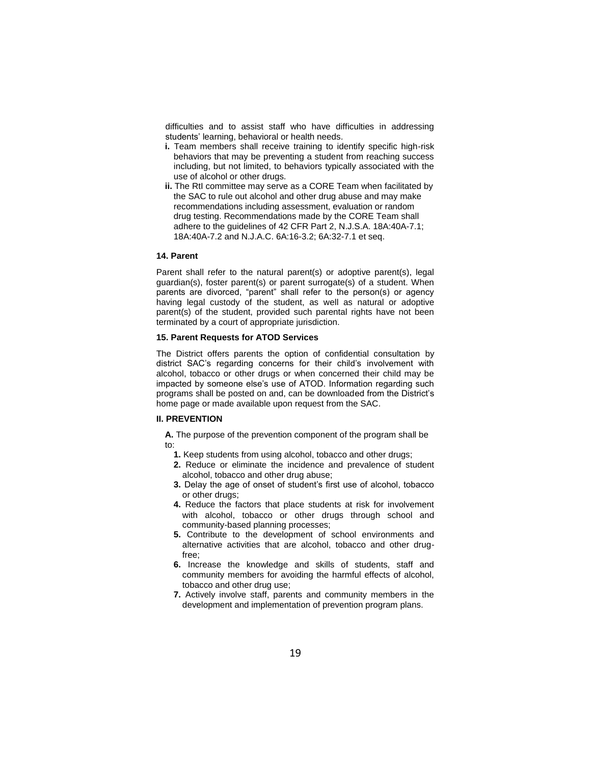difficulties and to assist staff who have difficulties in addressing students' learning, behavioral or health needs.

- **i.** Team members shall receive training to identify specific high-risk behaviors that may be preventing a student from reaching success including, but not limited, to behaviors typically associated with the use of alcohol or other drugs.
- **ii.** The RtI committee may serve as a CORE Team when facilitated by the SAC to rule out alcohol and other drug abuse and may make recommendations including assessment, evaluation or random drug testing. Recommendations made by the CORE Team shall adhere to the guidelines of 42 CFR Part 2, N.J.S.A. 18A:40A-7.1; 18A:40A-7.2 and N.J.A.C. 6A:16-3.2; 6A:32-7.1 et seq.

# **14. Parent**

Parent shall refer to the natural parent(s) or adoptive parent(s), legal guardian(s), foster parent(s) or parent surrogate(s) of a student. When parents are divorced, "parent" shall refer to the person(s) or agency having legal custody of the student, as well as natural or adoptive parent(s) of the student, provided such parental rights have not been terminated by a court of appropriate jurisdiction.

### **15. Parent Requests for ATOD Services**

The District offers parents the option of confidential consultation by district SAC's regarding concerns for their child's involvement with alcohol, tobacco or other drugs or when concerned their child may be impacted by someone else's use of ATOD. Information regarding such programs shall be posted on and, can be downloaded from the District's home page or made available upon request from the SAC.

# **II. PREVENTION**

**A.** The purpose of the prevention component of the program shall be to:

- **1.** Keep students from using alcohol, tobacco and other drugs;
- **2.** Reduce or eliminate the incidence and prevalence of student alcohol, tobacco and other drug abuse;
- **3.** Delay the age of onset of student's first use of alcohol, tobacco or other drugs;
- **4.** Reduce the factors that place students at risk for involvement with alcohol, tobacco or other drugs through school and community-based planning processes;
- **5.** Contribute to the development of school environments and alternative activities that are alcohol, tobacco and other drugfree;
- **6.** Increase the knowledge and skills of students, staff and community members for avoiding the harmful effects of alcohol, tobacco and other drug use;
- **7.** Actively involve staff, parents and community members in the development and implementation of prevention program plans.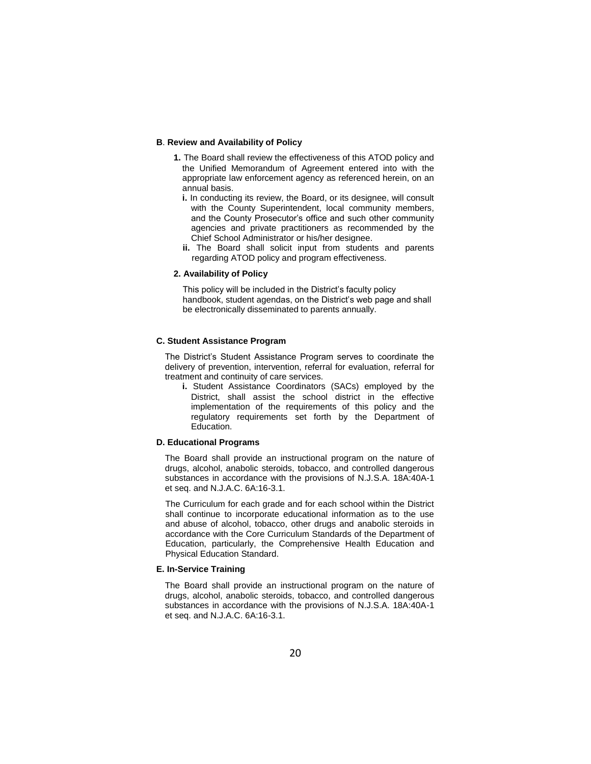### **B**. **Review and Availability of Policy**

- **1.** The Board shall review the effectiveness of this ATOD policy and the Unified Memorandum of Agreement entered into with the appropriate law enforcement agency as referenced herein, on an annual basis.
	- **i.** In conducting its review, the Board, or its designee, will consult with the County Superintendent, local community members, and the County Prosecutor's office and such other community agencies and private practitioners as recommended by the Chief School Administrator or his/her designee.
	- **ii.** The Board shall solicit input from students and parents regarding ATOD policy and program effectiveness.

### **2. Availability of Policy**

This policy will be included in the District's faculty policy handbook, student agendas, on the District's web page and shall be electronically disseminated to parents annually.

### **C. Student Assistance Program**

The District's Student Assistance Program serves to coordinate the delivery of prevention, intervention, referral for evaluation, referral for treatment and continuity of care services.

**i.** Student Assistance Coordinators (SACs) employed by the District, shall assist the school district in the effective implementation of the requirements of this policy and the regulatory requirements set forth by the Department of Education.

# **D. Educational Programs**

The Board shall provide an instructional program on the nature of drugs, alcohol, anabolic steroids, tobacco, and controlled dangerous substances in accordance with the provisions of N.J.S.A. 18A:40A-1 et seq. and N.J.A.C. 6A:16-3.1.

The Curriculum for each grade and for each school within the District shall continue to incorporate educational information as to the use and abuse of alcohol, tobacco, other drugs and anabolic steroids in accordance with the Core Curriculum Standards of the Department of Education, particularly, the Comprehensive Health Education and Physical Education Standard.

### **E. In-Service Training**

The Board shall provide an instructional program on the nature of drugs, alcohol, anabolic steroids, tobacco, and controlled dangerous substances in accordance with the provisions of N.J.S.A. 18A:40A-1 et seq. and N.J.A.C. 6A:16-3.1.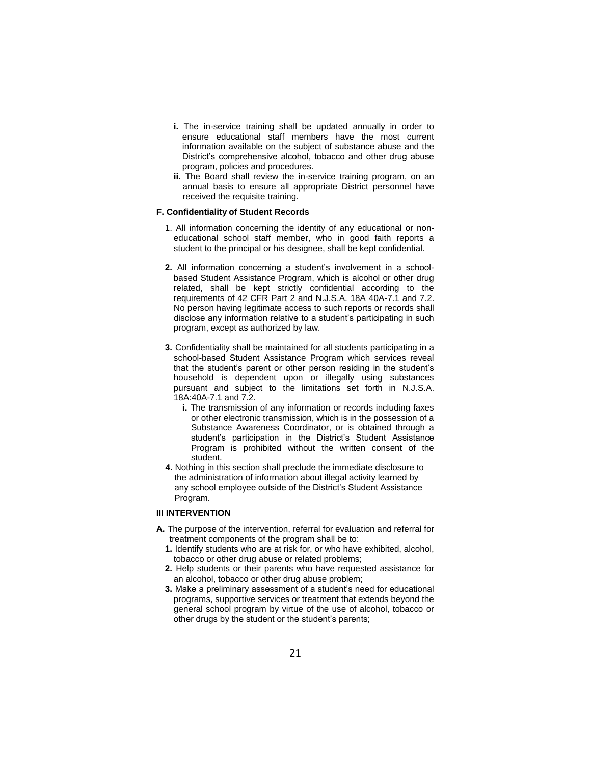- **i.** The in-service training shall be updated annually in order to ensure educational staff members have the most current information available on the subject of substance abuse and the District's comprehensive alcohol, tobacco and other drug abuse program, policies and procedures.
- **ii.** The Board shall review the in-service training program, on an annual basis to ensure all appropriate District personnel have received the requisite training.

# **F. Confidentiality of Student Records**

- 1. All information concerning the identity of any educational or noneducational school staff member, who in good faith reports a student to the principal or his designee, shall be kept confidential.
- **2.** All information concerning a student's involvement in a schoolbased Student Assistance Program, which is alcohol or other drug related, shall be kept strictly confidential according to the requirements of 42 CFR Part 2 and N.J.S.A. 18A 40A-7.1 and 7.2. No person having legitimate access to such reports or records shall disclose any information relative to a student's participating in such program, except as authorized by law.
- **3.** Confidentiality shall be maintained for all students participating in a school-based Student Assistance Program which services reveal that the student's parent or other person residing in the student's household is dependent upon or illegally using substances pursuant and subject to the limitations set forth in N.J.S.A. 18A:40A-7.1 and 7.2.
	- **i.** The transmission of any information or records including faxes or other electronic transmission, which is in the possession of a Substance Awareness Coordinator, or is obtained through a student's participation in the District's Student Assistance Program is prohibited without the written consent of the student.
- **4.** Nothing in this section shall preclude the immediate disclosure to the administration of information about illegal activity learned by any school employee outside of the District's Student Assistance Program.

#### **III INTERVENTION**

- **A.** The purpose of the intervention, referral for evaluation and referral for treatment components of the program shall be to:
	- **1.** Identify students who are at risk for, or who have exhibited, alcohol, tobacco or other drug abuse or related problems;
	- **2.** Help students or their parents who have requested assistance for an alcohol, tobacco or other drug abuse problem;
	- **3.** Make a preliminary assessment of a student's need for educational programs, supportive services or treatment that extends beyond the general school program by virtue of the use of alcohol, tobacco or other drugs by the student or the student's parents;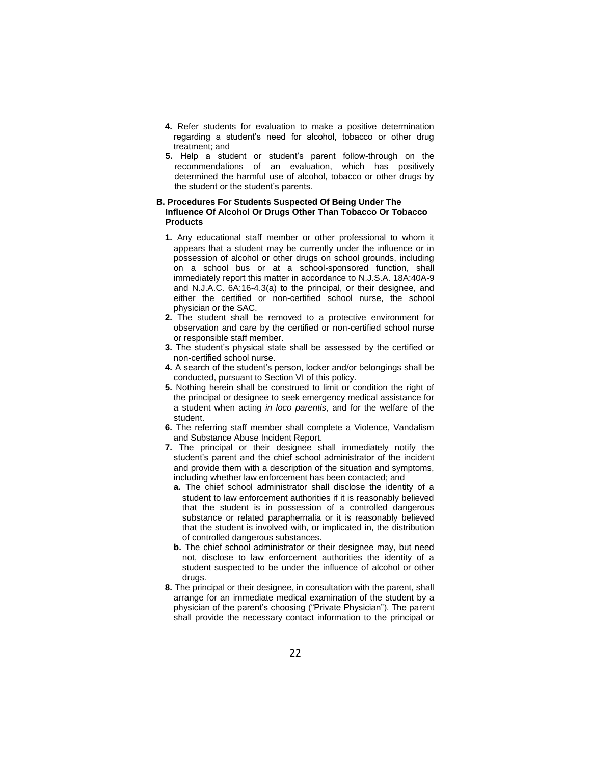- **4.** Refer students for evaluation to make a positive determination regarding a student's need for alcohol, tobacco or other drug treatment; and
- **5.** Help a student or student's parent follow-through on the recommendations of an evaluation, which has positively determined the harmful use of alcohol, tobacco or other drugs by the student or the student's parents.

### **B. Procedures For Students Suspected Of Being Under The Influence Of Alcohol Or Drugs Other Than Tobacco Or Tobacco Products**

- **1.** Any educational staff member or other professional to whom it appears that a student may be currently under the influence or in possession of alcohol or other drugs on school grounds, including on a school bus or at a school-sponsored function, shall immediately report this matter in accordance to N.J.S.A. 18A:40A-9 and N.J.A.C. 6A:16-4.3(a) to the principal, or their designee, and either the certified or non-certified school nurse, the school physician or the SAC.
- **2.** The student shall be removed to a protective environment for observation and care by the certified or non-certified school nurse or responsible staff member.
- **3.** The student's physical state shall be assessed by the certified or non-certified school nurse.
- **4.** A search of the student's person, locker and/or belongings shall be conducted, pursuant to Section VI of this policy.
- **5.** Nothing herein shall be construed to limit or condition the right of the principal or designee to seek emergency medical assistance for a student when acting *in loco parentis*, and for the welfare of the student.
- **6.** The referring staff member shall complete a Violence, Vandalism and Substance Abuse Incident Report.
- **7.** The principal or their designee shall immediately notify the student's parent and the chief school administrator of the incident and provide them with a description of the situation and symptoms, including whether law enforcement has been contacted; and
	- **a.** The chief school administrator shall disclose the identity of a student to law enforcement authorities if it is reasonably believed that the student is in possession of a controlled dangerous substance or related paraphernalia or it is reasonably believed that the student is involved with, or implicated in, the distribution of controlled dangerous substances.
	- **b.** The chief school administrator or their designee may, but need not, disclose to law enforcement authorities the identity of a student suspected to be under the influence of alcohol or other drugs.
- **8.** The principal or their designee, in consultation with the parent, shall arrange for an immediate medical examination of the student by a physician of the parent's choosing ("Private Physician"). The parent shall provide the necessary contact information to the principal or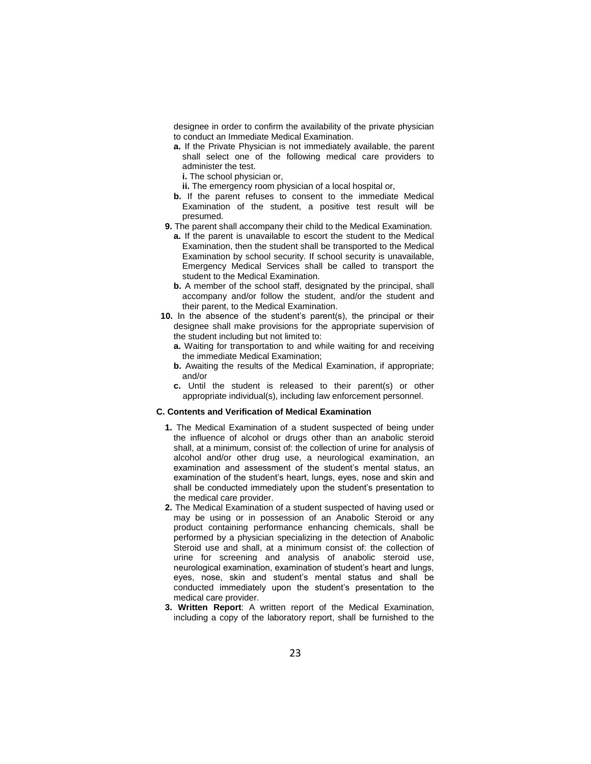designee in order to confirm the availability of the private physician to conduct an Immediate Medical Examination.

- **a.** If the Private Physician is not immediately available, the parent shall select one of the following medical care providers to administer the test.
	- **i.** The school physician or,
	- **ii.** The emergency room physician of a local hospital or,
- **b.** If the parent refuses to consent to the immediate Medical Examination of the student, a positive test result will be presumed.
- **9.** The parent shall accompany their child to the Medical Examination.
	- **a.** If the parent is unavailable to escort the student to the Medical Examination, then the student shall be transported to the Medical Examination by school security. If school security is unavailable, Emergency Medical Services shall be called to transport the student to the Medical Examination.
	- **b.** A member of the school staff, designated by the principal, shall accompany and/or follow the student, and/or the student and their parent, to the Medical Examination.
- **10.** In the absence of the student's parent(s), the principal or their designee shall make provisions for the appropriate supervision of the student including but not limited to:
	- **a.** Waiting for transportation to and while waiting for and receiving the immediate Medical Examination;
	- **b.** Awaiting the results of the Medical Examination, if appropriate; and/or
	- **c.** Until the student is released to their parent(s) or other appropriate individual(s), including law enforcement personnel.

### **C. Contents and Verification of Medical Examination**

- **1.** The Medical Examination of a student suspected of being under the influence of alcohol or drugs other than an anabolic steroid shall, at a minimum, consist of: the collection of urine for analysis of alcohol and/or other drug use, a neurological examination, an examination and assessment of the student's mental status, an examination of the student's heart, lungs, eyes, nose and skin and shall be conducted immediately upon the student's presentation to the medical care provider.
- **2.** The Medical Examination of a student suspected of having used or may be using or in possession of an Anabolic Steroid or any product containing performance enhancing chemicals, shall be performed by a physician specializing in the detection of Anabolic Steroid use and shall, at a minimum consist of: the collection of urine for screening and analysis of anabolic steroid use, neurological examination, examination of student's heart and lungs, eyes, nose, skin and student's mental status and shall be conducted immediately upon the student's presentation to the medical care provider.
- **3. Written Report**: A written report of the Medical Examination, including a copy of the laboratory report, shall be furnished to the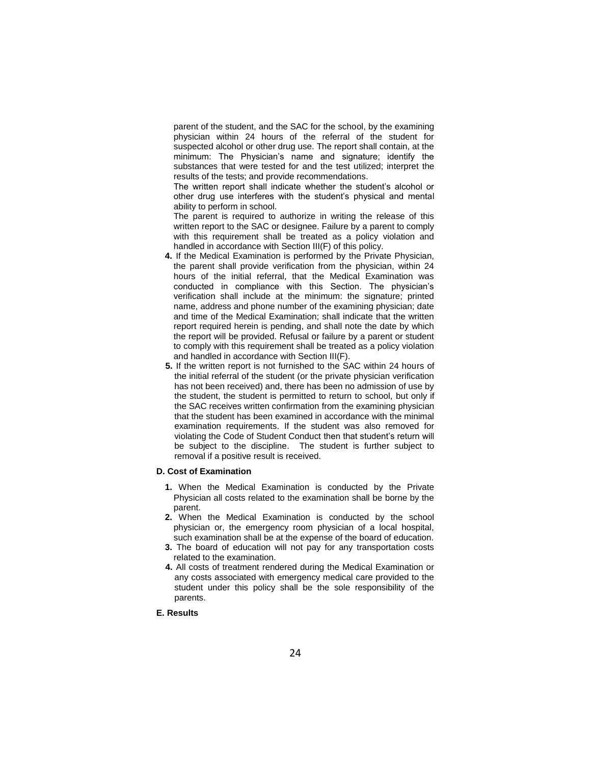parent of the student, and the SAC for the school, by the examining physician within 24 hours of the referral of the student for suspected alcohol or other drug use. The report shall contain, at the minimum: The Physician's name and signature; identify the substances that were tested for and the test utilized; interpret the results of the tests; and provide recommendations.

The written report shall indicate whether the student's alcohol or other drug use interferes with the student's physical and mental ability to perform in school.

The parent is required to authorize in writing the release of this written report to the SAC or designee. Failure by a parent to comply with this requirement shall be treated as a policy violation and handled in accordance with Section III(F) of this policy.

- **4.** If the Medical Examination is performed by the Private Physician, the parent shall provide verification from the physician, within 24 hours of the initial referral, that the Medical Examination was conducted in compliance with this Section. The physician's verification shall include at the minimum: the signature; printed name, address and phone number of the examining physician; date and time of the Medical Examination; shall indicate that the written report required herein is pending, and shall note the date by which the report will be provided. Refusal or failure by a parent or student to comply with this requirement shall be treated as a policy violation and handled in accordance with Section III(F).
- **5.** If the written report is not furnished to the SAC within 24 hours of the initial referral of the student (or the private physician verification has not been received) and, there has been no admission of use by the student, the student is permitted to return to school, but only if the SAC receives written confirmation from the examining physician that the student has been examined in accordance with the minimal examination requirements. If the student was also removed for violating the Code of Student Conduct then that student's return will be subject to the discipline. The student is further subject to removal if a positive result is received.

### **D. Cost of Examination**

- **1.** When the Medical Examination is conducted by the Private Physician all costs related to the examination shall be borne by the parent.
- **2.** When the Medical Examination is conducted by the school physician or, the emergency room physician of a local hospital, such examination shall be at the expense of the board of education.
- **3.** The board of education will not pay for any transportation costs related to the examination.
- **4.** All costs of treatment rendered during the Medical Examination or any costs associated with emergency medical care provided to the student under this policy shall be the sole responsibility of the parents.

# **E. Results**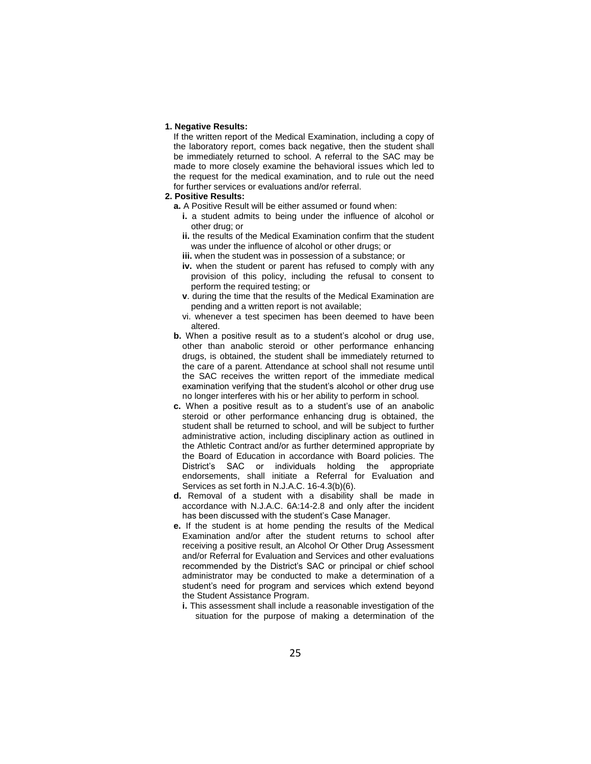#### **1. Negative Results:**

If the written report of the Medical Examination, including a copy of the laboratory report, comes back negative, then the student shall be immediately returned to school. A referral to the SAC may be made to more closely examine the behavioral issues which led to the request for the medical examination, and to rule out the need for further services or evaluations and/or referral.

### **2. Positive Results:**

- **a.** A Positive Result will be either assumed or found when:
	- **i.** a student admits to being under the influence of alcohol or other drug; or
	- **ii.** the results of the Medical Examination confirm that the student was under the influence of alcohol or other drugs; or
	- **iii.** when the student was in possession of a substance; or
	- **iv.** when the student or parent has refused to comply with any provision of this policy, including the refusal to consent to perform the required testing; or
	- **v**. during the time that the results of the Medical Examination are pending and a written report is not available;
	- vi. whenever a test specimen has been deemed to have been altered.
- **b.** When a positive result as to a student's alcohol or drug use, other than anabolic steroid or other performance enhancing drugs, is obtained, the student shall be immediately returned to the care of a parent. Attendance at school shall not resume until the SAC receives the written report of the immediate medical examination verifying that the student's alcohol or other drug use no longer interferes with his or her ability to perform in school.
- **c.** When a positive result as to a student's use of an anabolic steroid or other performance enhancing drug is obtained, the student shall be returned to school, and will be subject to further administrative action, including disciplinary action as outlined in the Athletic Contract and/or as further determined appropriate by the Board of Education in accordance with Board policies. The District's SAC or individuals holding the appropriate endorsements, shall initiate a Referral for Evaluation and Services as set forth in N.J.A.C. 16-4.3(b)(6).
- **d.** Removal of a student with a disability shall be made in accordance with N.J.A.C. 6A:14-2.8 and only after the incident has been discussed with the student's Case Manager.
- **e.** If the student is at home pending the results of the Medical Examination and/or after the student returns to school after receiving a positive result, an Alcohol Or Other Drug Assessment and/or Referral for Evaluation and Services and other evaluations recommended by the District's SAC or principal or chief school administrator may be conducted to make a determination of a student's need for program and services which extend beyond the Student Assistance Program.
	- **i.** This assessment shall include a reasonable investigation of the situation for the purpose of making a determination of the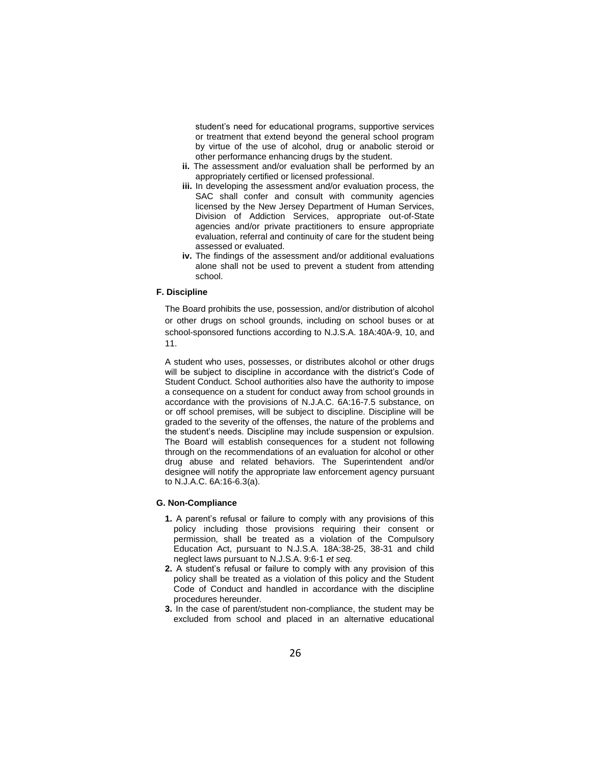student's need for educational programs, supportive services or treatment that extend beyond the general school program by virtue of the use of alcohol, drug or anabolic steroid or other performance enhancing drugs by the student.

- **ii.** The assessment and/or evaluation shall be performed by an appropriately certified or licensed professional.
- **iii.** In developing the assessment and/or evaluation process, the SAC shall confer and consult with community agencies licensed by the New Jersey Department of Human Services, Division of Addiction Services, appropriate out-of-State agencies and/or private practitioners to ensure appropriate evaluation, referral and continuity of care for the student being assessed or evaluated.
- **iv.** The findings of the assessment and/or additional evaluations alone shall not be used to prevent a student from attending school.

### **F. Discipline**

The Board prohibits the use, possession, and/or distribution of alcohol or other drugs on school grounds, including on school buses or at school-sponsored functions according to N.J.S.A. 18A:40A-9, 10, and 11.

A student who uses, possesses, or distributes alcohol or other drugs will be subject to discipline in accordance with the district's Code of Student Conduct. School authorities also have the authority to impose a consequence on a student for conduct away from school grounds in accordance with the provisions of N.J.A.C. 6A:16-7.5 substance, on or off school premises, will be subject to discipline. Discipline will be graded to the severity of the offenses, the nature of the problems and the student's needs. Discipline may include suspension or expulsion. The Board will establish consequences for a student not following through on the recommendations of an evaluation for alcohol or other drug abuse and related behaviors. The Superintendent and/or designee will notify the appropriate law enforcement agency pursuant to N.J.A.C. 6A:16-6.3(a).

#### **G. Non-Compliance**

- **1.** A parent's refusal or failure to comply with any provisions of this policy including those provisions requiring their consent or permission, shall be treated as a violation of the Compulsory Education Act, pursuant to N.J.S.A. 18A:38-25, 38-31 and child neglect laws pursuant to N.J.S.A. 9:6-1 *et seq.*
- **2.** A student's refusal or failure to comply with any provision of this policy shall be treated as a violation of this policy and the Student Code of Conduct and handled in accordance with the discipline procedures hereunder.
- **3.** In the case of parent/student non-compliance, the student may be excluded from school and placed in an alternative educational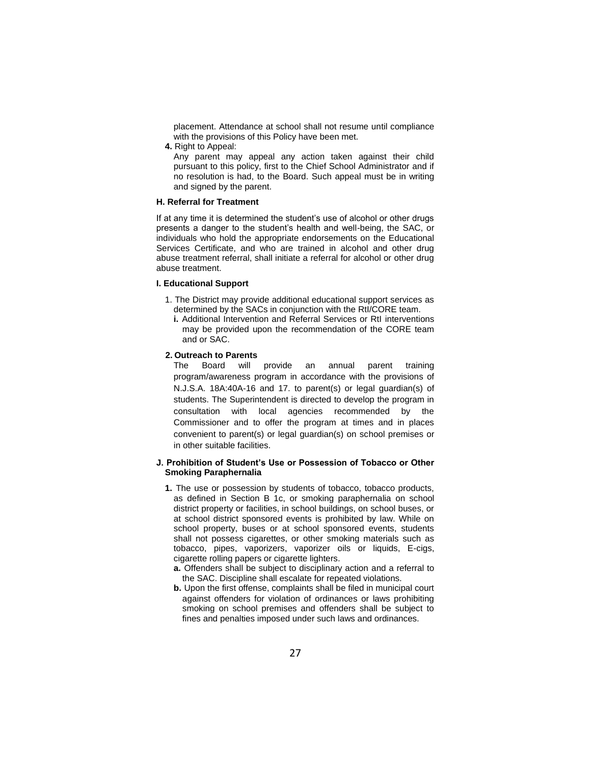placement. Attendance at school shall not resume until compliance with the provisions of this Policy have been met.

**4.** Right to Appeal:

Any parent may appeal any action taken against their child pursuant to this policy, first to the Chief School Administrator and if no resolution is had, to the Board. Such appeal must be in writing and signed by the parent.

### **H. Referral for Treatment**

If at any time it is determined the student's use of alcohol or other drugs presents a danger to the student's health and well-being, the SAC, or individuals who hold the appropriate endorsements on the Educational Services Certificate, and who are trained in alcohol and other drug abuse treatment referral, shall initiate a referral for alcohol or other drug abuse treatment.

### **I. Educational Support**

- 1. The District may provide additional educational support services as determined by the SACs in conjunction with the RtI/CORE team.
	- **i.** Additional Intervention and Referral Services or RtI interventions may be provided upon the recommendation of the CORE team and or SAC.

# **2. Outreach to Parents**

The Board will provide an annual parent training program/awareness program in accordance with the provisions of N.J.S.A. 18A:40A-16 and 17. to parent(s) or legal guardian(s) of students. The Superintendent is directed to develop the program in consultation with local agencies recommended by the Commissioner and to offer the program at times and in places convenient to parent(s) or legal guardian(s) on school premises or in other suitable facilities.

### **J. Prohibition of Student's Use or Possession of Tobacco or Other Smoking Paraphernalia**

- **1.** The use or possession by students of tobacco, tobacco products, as defined in Section B 1c, or smoking paraphernalia on school district property or facilities, in school buildings, on school buses, or at school district sponsored events is prohibited by law. While on school property, buses or at school sponsored events, students shall not possess cigarettes, or other smoking materials such as tobacco, pipes, vaporizers, vaporizer oils or liquids, E-cigs, cigarette rolling papers or cigarette lighters.
	- **a.** Offenders shall be subject to disciplinary action and a referral to the SAC. Discipline shall escalate for repeated violations.
	- **b.** Upon the first offense, complaints shall be filed in municipal court against offenders for violation of ordinances or laws prohibiting smoking on school premises and offenders shall be subject to fines and penalties imposed under such laws and ordinances.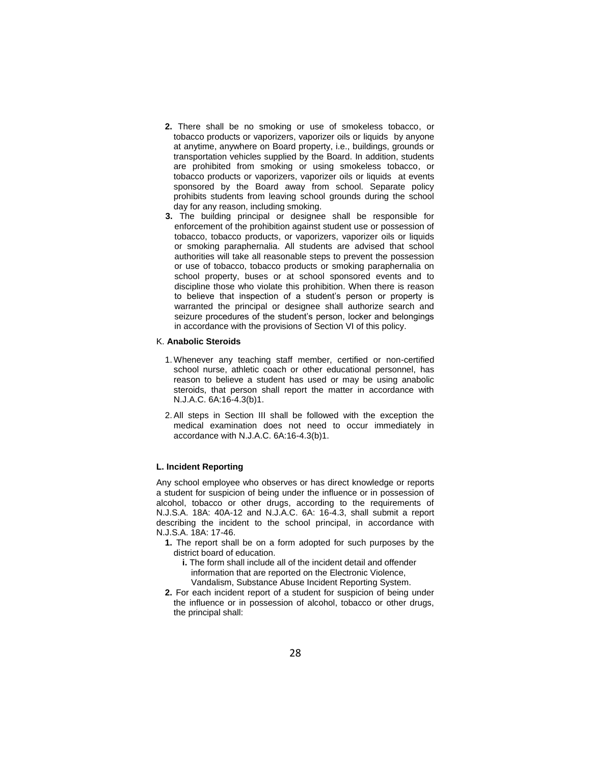- **2.** There shall be no smoking or use of smokeless tobacco, or tobacco products or vaporizers, vaporizer oils or liquids by anyone at anytime, anywhere on Board property, i.e., buildings, grounds or transportation vehicles supplied by the Board. In addition, students are prohibited from smoking or using smokeless tobacco, or tobacco products or vaporizers, vaporizer oils or liquids at events sponsored by the Board away from school. Separate policy prohibits students from leaving school grounds during the school day for any reason, including smoking.
- **3.** The building principal or designee shall be responsible for enforcement of the prohibition against student use or possession of tobacco, tobacco products, or vaporizers, vaporizer oils or liquids or smoking paraphernalia. All students are advised that school authorities will take all reasonable steps to prevent the possession or use of tobacco, tobacco products or smoking paraphernalia on school property, buses or at school sponsored events and to discipline those who violate this prohibition. When there is reason to believe that inspection of a student's person or property is warranted the principal or designee shall authorize search and seizure procedures of the student's person, locker and belongings in accordance with the provisions of Section VI of this policy.

### K. **Anabolic Steroids**

- 1. Whenever any teaching staff member, certified or non-certified school nurse, athletic coach or other educational personnel, has reason to believe a student has used or may be using anabolic steroids, that person shall report the matter in accordance with N.J.A.C. 6A:16-4.3(b)1.
- 2.All steps in Section III shall be followed with the exception the medical examination does not need to occur immediately in accordance with N.J.A.C. 6A:16-4.3(b)1.

#### **L. Incident Reporting**

Any school employee who observes or has direct knowledge or reports a student for suspicion of being under the influence or in possession of alcohol, tobacco or other drugs, according to the requirements of N.J.S.A. 18A: 40A-12 and N.J.A.C. 6A: 16-4.3, shall submit a report describing the incident to the school principal, in accordance with N.J.S.A. 18A: 17-46.

- **1.** The report shall be on a form adopted for such purposes by the district board of education.
	- **i.** The form shall include all of the incident detail and offender information that are reported on the Electronic Violence, Vandalism, Substance Abuse Incident Reporting System.
- **2.** For each incident report of a student for suspicion of being under the influence or in possession of alcohol, tobacco or other drugs, the principal shall: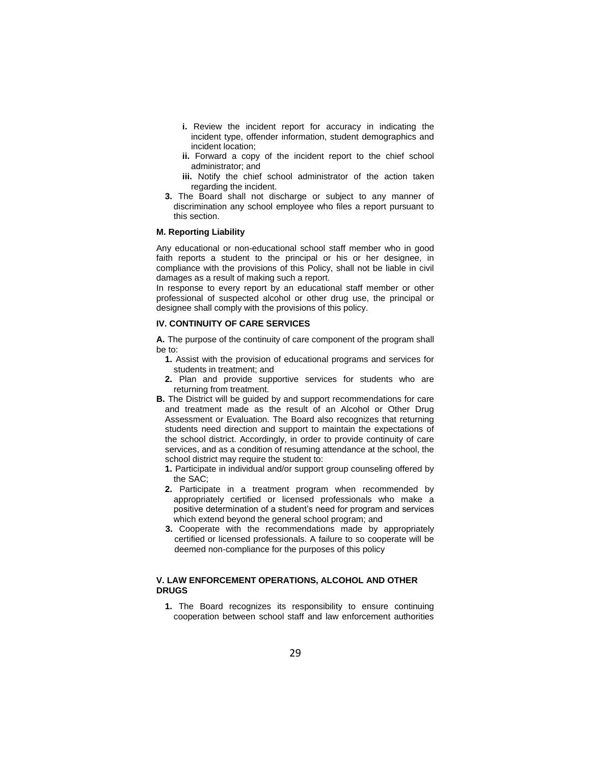- **i.** Review the incident report for accuracy in indicating the incident type, offender information, student demographics and incident location;
- **ii.** Forward a copy of the incident report to the chief school administrator; and
- **iii.** Notify the chief school administrator of the action taken regarding the incident.
- **3.** The Board shall not discharge or subject to any manner of discrimination any school employee who files a report pursuant to this section.

### **M. Reporting Liability**

Any educational or non-educational school staff member who in good faith reports a student to the principal or his or her designee, in compliance with the provisions of this Policy, shall not be liable in civil damages as a result of making such a report.

In response to every report by an educational staff member or other professional of suspected alcohol or other drug use, the principal or designee shall comply with the provisions of this policy.

# **IV. CONTINUITY OF CARE SERVICES**

**A.** The purpose of the continuity of care component of the program shall be to:

- **1.** Assist with the provision of educational programs and services for students in treatment; and
- **2.** Plan and provide supportive services for students who are returning from treatment.
- **B.** The District will be guided by and support recommendations for care and treatment made as the result of an Alcohol or Other Drug Assessment or Evaluation. The Board also recognizes that returning students need direction and support to maintain the expectations of the school district. Accordingly, in order to provide continuity of care services, and as a condition of resuming attendance at the school, the school district may require the student to:
	- **1.** Participate in individual and/or support group counseling offered by the SAC;
	- **2.** Participate in a treatment program when recommended by appropriately certified or licensed professionals who make a positive determination of a student's need for program and services which extend beyond the general school program; and
	- **3.** Cooperate with the recommendations made by appropriately certified or licensed professionals. A failure to so cooperate will be deemed non-compliance for the purposes of this policy

### **V. LAW ENFORCEMENT OPERATIONS, ALCOHOL AND OTHER DRUGS**

**1.** The Board recognizes its responsibility to ensure continuing cooperation between school staff and law enforcement authorities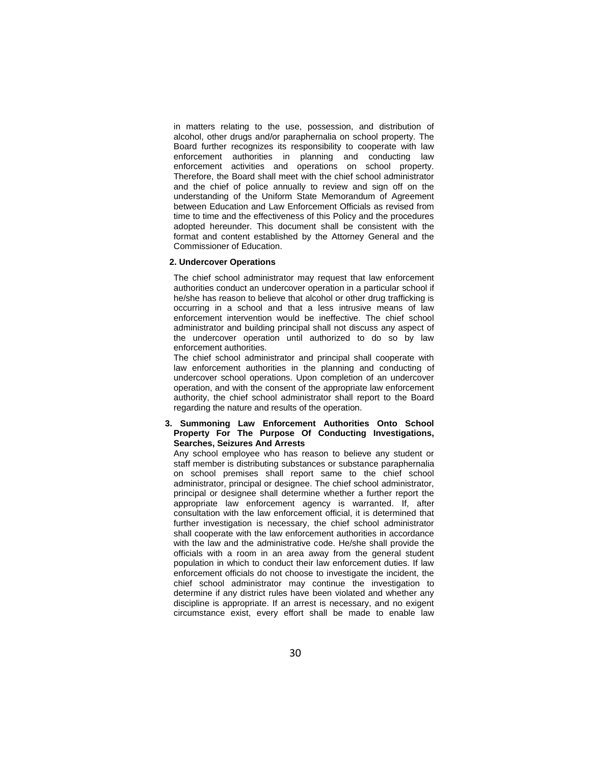in matters relating to the use, possession, and distribution of alcohol, other drugs and/or paraphernalia on school property. The Board further recognizes its responsibility to cooperate with law enforcement authorities in planning and conducting law enforcement activities and operations on school property. Therefore, the Board shall meet with the chief school administrator and the chief of police annually to review and sign off on the understanding of the Uniform State Memorandum of Agreement between Education and Law Enforcement Officials as revised from time to time and the effectiveness of this Policy and the procedures adopted hereunder. This document shall be consistent with the format and content established by the Attorney General and the Commissioner of Education.

#### **2. Undercover Operations**

The chief school administrator may request that law enforcement authorities conduct an undercover operation in a particular school if he/she has reason to believe that alcohol or other drug trafficking is occurring in a school and that a less intrusive means of law enforcement intervention would be ineffective. The chief school administrator and building principal shall not discuss any aspect of the undercover operation until authorized to do so by law enforcement authorities.

The chief school administrator and principal shall cooperate with law enforcement authorities in the planning and conducting of undercover school operations. Upon completion of an undercover operation, and with the consent of the appropriate law enforcement authority, the chief school administrator shall report to the Board regarding the nature and results of the operation.

## **3. Summoning Law Enforcement Authorities Onto School Property For The Purpose Of Conducting Investigations, Searches, Seizures And Arrests**

Any school employee who has reason to believe any student or staff member is distributing substances or substance paraphernalia on school premises shall report same to the chief school administrator, principal or designee. The chief school administrator, principal or designee shall determine whether a further report the appropriate law enforcement agency is warranted. If, after consultation with the law enforcement official, it is determined that further investigation is necessary, the chief school administrator shall cooperate with the law enforcement authorities in accordance with the law and the administrative code. He/she shall provide the officials with a room in an area away from the general student population in which to conduct their law enforcement duties. If law enforcement officials do not choose to investigate the incident, the chief school administrator may continue the investigation to determine if any district rules have been violated and whether any discipline is appropriate. If an arrest is necessary, and no exigent circumstance exist, every effort shall be made to enable law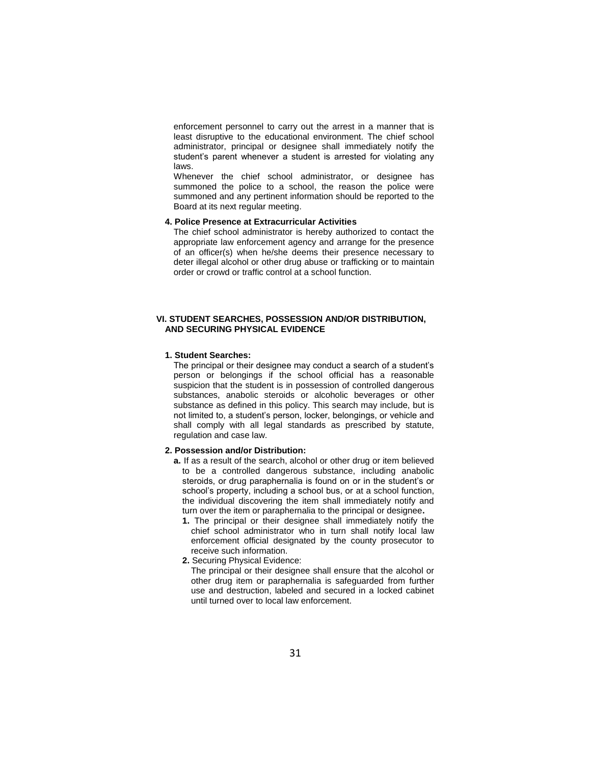enforcement personnel to carry out the arrest in a manner that is least disruptive to the educational environment. The chief school administrator, principal or designee shall immediately notify the student's parent whenever a student is arrested for violating any laws.

Whenever the chief school administrator, or designee has summoned the police to a school, the reason the police were summoned and any pertinent information should be reported to the Board at its next regular meeting.

# **4. Police Presence at Extracurricular Activities**

The chief school administrator is hereby authorized to contact the appropriate law enforcement agency and arrange for the presence of an officer(s) when he/she deems their presence necessary to deter illegal alcohol or other drug abuse or trafficking or to maintain order or crowd or traffic control at a school function.

### **VI. STUDENT SEARCHES, POSSESSION AND/OR DISTRIBUTION, AND SECURING PHYSICAL EVIDENCE**

# **1. Student Searches:**

The principal or their designee may conduct a search of a student's person or belongings if the school official has a reasonable suspicion that the student is in possession of controlled dangerous substances, anabolic steroids or alcoholic beverages or other substance as defined in this policy. This search may include, but is not limited to, a student's person, locker, belongings, or vehicle and shall comply with all legal standards as prescribed by statute, regulation and case law.

### **2. Possession and/or Distribution:**

- **a.** If as a result of the search, alcohol or other drug or item believed to be a controlled dangerous substance, including anabolic steroids, or drug paraphernalia is found on or in the student's or school's property, including a school bus, or at a school function, the individual discovering the item shall immediately notify and turn over the item or paraphernalia to the principal or designee**.** 
	- **1.** The principal or their designee shall immediately notify the chief school administrator who in turn shall notify local law enforcement official designated by the county prosecutor to receive such information.
	- **2.** Securing Physical Evidence:

The principal or their designee shall ensure that the alcohol or other drug item or paraphernalia is safeguarded from further use and destruction, labeled and secured in a locked cabinet until turned over to local law enforcement.